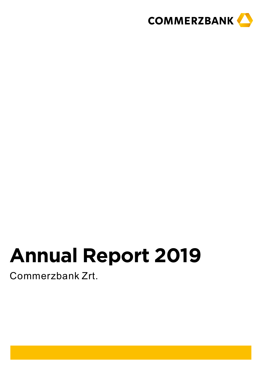

## **Annual Report 2019**

Commerzbank Zrt.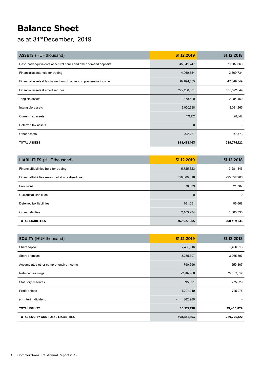## **Balance Sheet**

as at 31stDecember, 2019

| <b>ASSETS</b> (HUF thousand)                                      | 31.12.2019   | 31.12.2018  |
|-------------------------------------------------------------------|--------------|-------------|
| Cash, cash equivalents at central banks and other demand deposits | 45,641,747   | 79,287,860  |
| Financial assetsheld for trading                                  | 4,960,654    | 2,609,734   |
| Financial assets at fair value through other comprehensive income | 62,894,655   | 47,649,549  |
| Financial assets at amortised cost                                | 279,268,801  | 155,592,049 |
| Tangible assets                                                   | 2,158,629    | 2,284,450   |
| Intangible assets                                                 | 3,020,338    | 2,081,365   |
| Current tax assets                                                | 174,102      | 128,642     |
| Deferred tax assets                                               | $\mathbf{0}$ |             |
| Other assets                                                      | 336,237      | 142,473     |
| <b>TOTAL ASSETS</b>                                               | 398,455,163  | 289,776,122 |

| <b>LIABILITIES</b> (HUF thousand)                | 31.12.2019   | 31.12.2018  |
|--------------------------------------------------|--------------|-------------|
| Financial liabilities held for trading           | 5,725,323    | 3,281,846   |
| Financial liabilities measured at amortised cost | 359,860,018  | 255,052,206 |
| Provisions                                       | 78,339       | 521,787     |
| Current tax liabilities                          | $\mathbf{0}$ | $\mathbf 0$ |
| Deferred tax liabilities                         | 161,051      | 96,668      |
| Other liabilities                                | 2,103,234    | 1,366,736   |
| <b>TOTAL LIABILITIES</b>                         | 367,927,965  | 260,319,243 |

| <b>EQUITY</b> (HUF thousand)              | 31.12.2019                          | 31.12.2018  |
|-------------------------------------------|-------------------------------------|-------------|
| Share capital                             | 2,466,916                           | 2,466,916   |
| Share premium                             | 3,265,397                           | 3,265,397   |
| Accumulated other comprehensive income    | 790,696                             | 559,307     |
| Retained earnings                         | 22,769,438                          | 22,163,652  |
| Statutory reserves                        | 395,821                             | 275,629     |
| Profit or loss                            | 1,201,919                           | 725,978     |
| (-) Interim dividend                      | 362,989<br>$\overline{\phantom{a}}$ |             |
| <b>TOTAL EQUITY</b>                       | 30,527,198                          | 29,456,879  |
| <b>TOTAL EQUITY AND TOTAL LIABILITIES</b> | 398,455,163                         | 289,776,122 |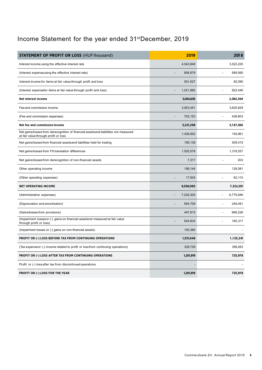## Income Statement for the year ended 31<sup>st</sup>December, 2019

| <b>STATEMENT OF PROFIT OR LOSS (HUF thousand)</b>                                                                            | 2019      | 2018                      |
|------------------------------------------------------------------------------------------------------------------------------|-----------|---------------------------|
| Interest income using the effective interest rate                                                                            | 4,543,848 | 3,522,220                 |
| (Interest expenseusing the effective interest rate)                                                                          | 958,879   | 589,560                   |
| Interest income for items at fair value through profit and loss                                                              | 501,527   | 82,090                    |
| (Interest expensefor items at fair value through profit and loss)                                                            | 1,021,860 | 922,446                   |
| Net interest income                                                                                                          | 3,064,636 | 2,092,304                 |
| Fee and commission income                                                                                                    | 3,923,451 | 3,625,829                 |
| (Fee and commission expenses)                                                                                                | 702,153   | 438,803                   |
| Net fee and commission income                                                                                                | 3,221,298 | 3,187,026                 |
| Net gains/losses from derecognition of financial assets and liabilities not measured<br>at fair value through profit or loss | 1,428,952 | 150,961                   |
| Net gains/losses from financial assets and liabilities held for trading                                                      | 195,139   | 505,415                   |
| Net gains/losses from FX translation differences                                                                             | 1,502,078 | 1,319,257                 |
| Net gains/losses from derecognition of non-financial assets                                                                  | 7,317     | 203                       |
| Other operating income                                                                                                       | 156,144   | 129,381                   |
| (Other operating expenses)                                                                                                   | 17,504    | 62,110                    |
| <b>NET OPERATING INCOME</b>                                                                                                  | 9,558,060 | 7,322,031                 |
| (Administrative expenses)                                                                                                    | 7,229,300 | 6,775,846                 |
| (Depreciation and amortisation)                                                                                              | 594,709   | 249,481                   |
| (Gains/losses from provisions)                                                                                               | 447,815   | 668,226                   |
| (Impairment lossesor (-) gains on financial assetsnot measured at fair value<br>through profit or loss)                      | 544,834   | 160,311<br>$\overline{a}$ |
| (Impairment losses or (-) gains on non-financial assets)                                                                     | 105,384   |                           |
| <b>PROFIT OR (-) LOSS BEFORE TAX FROM CONTINUING OPERATIONS</b>                                                              | 1,531,648 | 1,125,241                 |
| (Tax expenseor (-) income related to profit or loss from continuing operations)                                              | 329,729   | 399,263                   |
| <b>PROFIT OR (-) LOSS AFTER TAX FROM CONTINUING OPERATIONS</b>                                                               | 1,201,919 | 725,978                   |
| Profit or (-) loss after tax from discontinued operations                                                                    |           |                           |
| <b>PROFIT OR (-) LOSS FOR THE YEAR</b>                                                                                       | 1,201,919 | 725,978                   |